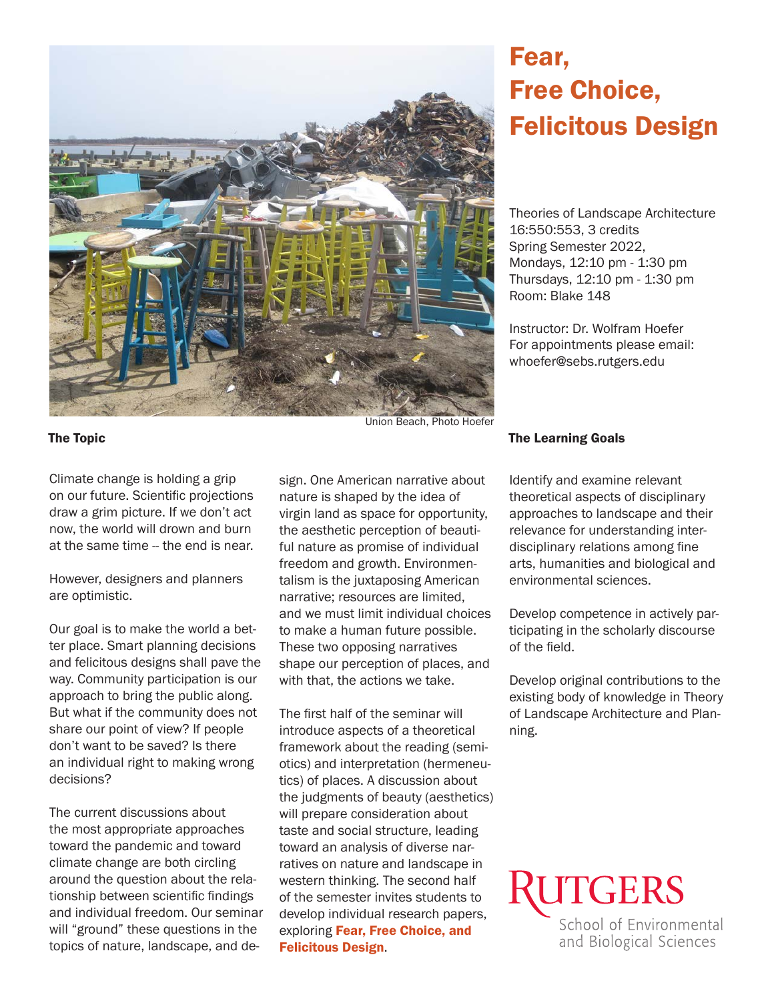

# Fear, Free Choice, Felicitous Design

Theories of Landscape Architecture 16:550:553, 3 credits Spring Semester 2022, Mondays, 12:10 pm - 1:30 pm Thursdays, 12:10 pm - 1:30 pm Room: Blake 148

Instructor: Dr. Wolfram Hoefer For appointments please email: whoefer@sebs.rutgers.edu

Climate change is holding a grip on our future. Scientific projections draw a grim picture. If we don't act now, the world will drown and burn at the same time -- the end is near.

However, designers and planners are optimistic.

Our goal is to make the world a better place. Smart planning decisions and felicitous designs shall pave the way. Community participation is our approach to bring the public along. But what if the community does not share our point of view? If people don't want to be saved? Is there an individual right to making wrong decisions?

The current discussions about the most appropriate approaches toward the pandemic and toward climate change are both circling around the question about the relationship between scientific findings and individual freedom. Our seminar will "ground" these questions in the topics of nature, landscape, and de-

sign. One American narrative about nature is shaped by the idea of virgin land as space for opportunity, the aesthetic perception of beautiful nature as promise of individual freedom and growth. Environmentalism is the juxtaposing American narrative; resources are limited, and we must limit individual choices to make a human future possible. These two opposing narratives shape our perception of places, and with that, the actions we take.

The first half of the seminar will introduce aspects of a theoretical framework about the reading (semiotics) and interpretation (hermeneutics) of places. A discussion about the judgments of beauty (aesthetics) will prepare consideration about taste and social structure, leading toward an analysis of diverse narratives on nature and landscape in western thinking. The second half of the semester invites students to develop individual research papers, exploring Fear, Free Choice, and Felicitous Design.

#### The Topic The Learning Goals

Identify and examine relevant theoretical aspects of disciplinary approaches to landscape and their relevance for understanding interdisciplinary relations among fine arts, humanities and biological and environmental sciences.

Develop competence in actively participating in the scholarly discourse of the field.

Develop original contributions to the existing body of knowledge in Theory of Landscape Architecture and Planning.

**UTGERS** School of Environmental and Biological Sciences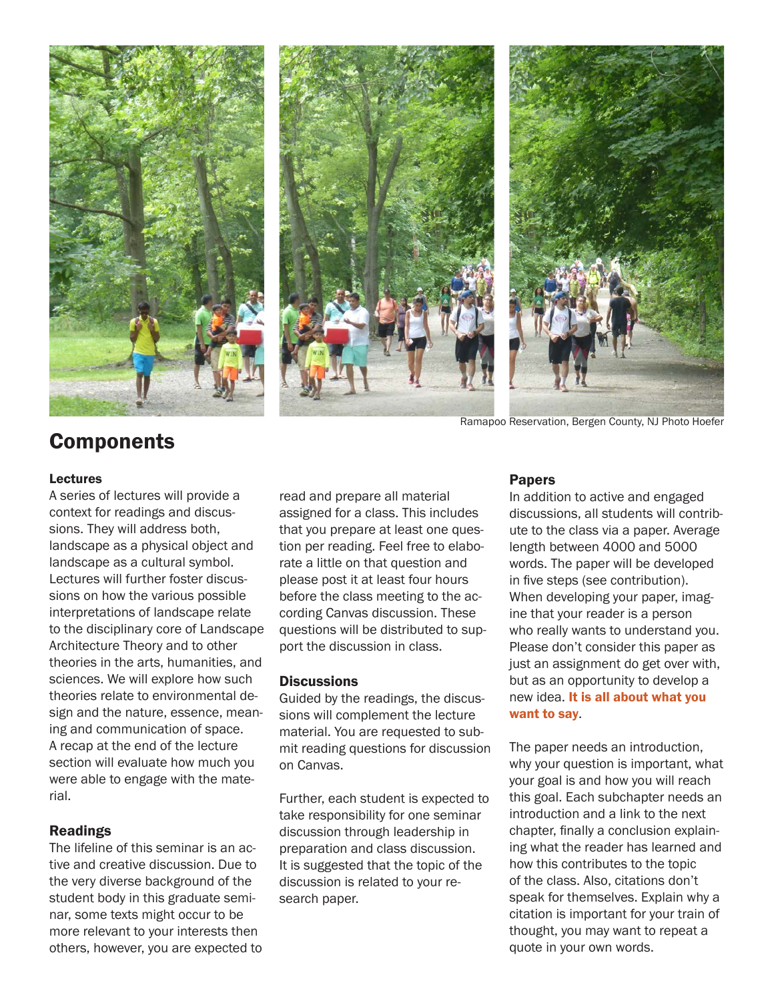





Ramapoo Reservation, Bergen County, NJ Photo Hoefer

# **Components**

#### Lectures

A series of lectures will provide a context for readings and discussions. They will address both, landscape as a physical object and landscape as a cultural symbol. Lectures will further foster discussions on how the various possible interpretations of landscape relate to the disciplinary core of Landscape Architecture Theory and to other theories in the arts, humanities, and sciences. We will explore how such theories relate to environmental design and the nature, essence, meaning and communication of space. A recap at the end of the lecture section will evaluate how much you were able to engage with the material.

#### Readings

The lifeline of this seminar is an active and creative discussion. Due to the very diverse background of the student body in this graduate seminar, some texts might occur to be more relevant to your interests then others, however, you are expected to read and prepare all material assigned for a class. This includes that you prepare at least one question per reading. Feel free to elaborate a little on that question and please post it at least four hours before the class meeting to the according Canvas discussion. These questions will be distributed to support the discussion in class.

#### **Discussions**

Guided by the readings, the discussions will complement the lecture material. You are requested to submit reading questions for discussion on Canvas.

Further, each student is expected to take responsibility for one seminar discussion through leadership in preparation and class discussion. It is suggested that the topic of the discussion is related to your research paper.

#### Papers

In addition to active and engaged discussions, all students will contribute to the class via a paper. Average length between 4000 and 5000 words. The paper will be developed in five steps (see contribution). When developing your paper, imagine that your reader is a person who really wants to understand you. Please don't consider this paper as just an assignment do get over with, but as an opportunity to develop a new idea. It is all about what you want to say.

The paper needs an introduction, why your question is important, what your goal is and how you will reach this goal. Each subchapter needs an introduction and a link to the next chapter, finally a conclusion explaining what the reader has learned and how this contributes to the topic of the class. Also, citations don't speak for themselves. Explain why a citation is important for your train of thought, you may want to repeat a quote in your own words.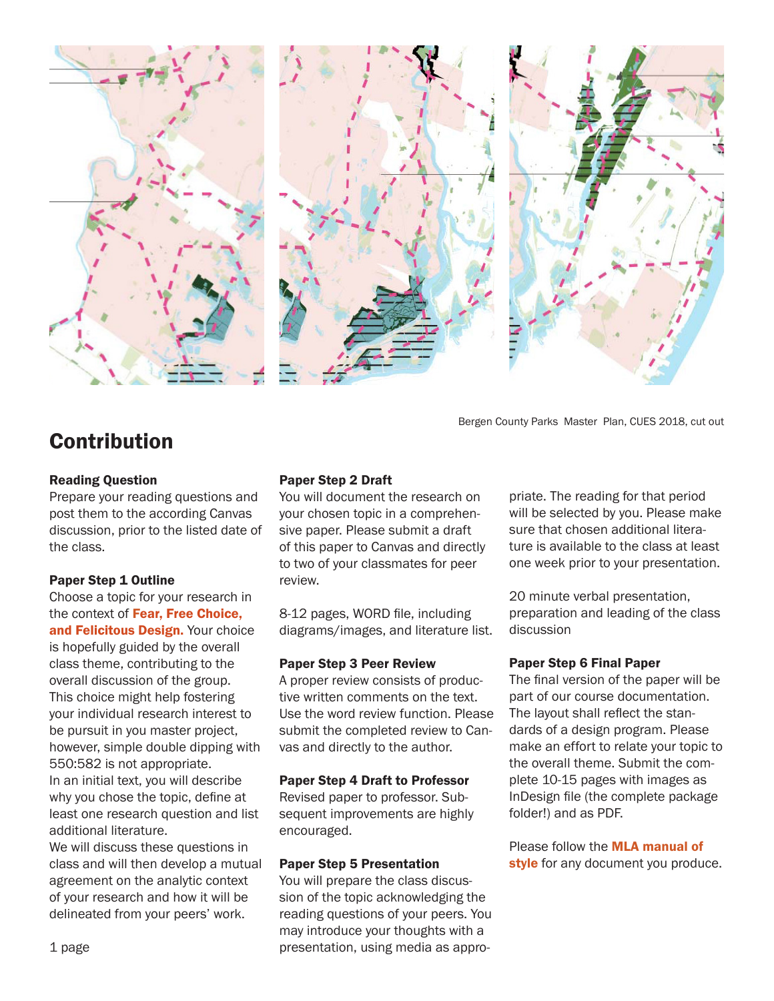

Bergen County Parks Master Plan, CUES 2018, cut out

## Contribution

#### Reading Question

Prepare your reading questions and post them to the according Canvas discussion, prior to the listed date of the class.

#### Paper Step 1 Outline

Choose a topic for your research in the context of Fear. Free Choice. and Felicitous Design. Your choice is hopefully guided by the overall class theme, contributing to the overall discussion of the group. This choice might help fostering your individual research interest to be pursuit in you master project, however, simple double dipping with 550:582 is not appropriate. In an initial text, you will describe why you chose the topic, define at least one research question and list additional literature.

We will discuss these questions in class and will then develop a mutual agreement on the analytic context of your research and how it will be delineated from your peers' work.

#### Paper Step 2 Draft

You will document the research on your chosen topic in a comprehensive paper. Please submit a draft of this paper to Canvas and directly to two of your classmates for peer review.

8-12 pages, WORD file, including diagrams/images, and literature list.

#### Paper Step 3 Peer Review

A proper review consists of productive written comments on the text. Use the word review function. Please submit the completed review to Canvas and directly to the author.

#### Paper Step 4 Draft to Professor

Revised paper to professor. Subsequent improvements are highly encouraged.

#### Paper Step 5 Presentation

You will prepare the class discussion of the topic acknowledging the reading questions of your peers. You may introduce your thoughts with a presentation, using media as appropriate. The reading for that period will be selected by you. Please make sure that chosen additional literature is available to the class at least one week prior to your presentation.

20 minute verbal presentation, preparation and leading of the class discussion

#### Paper Step 6 Final Paper

The final version of the paper will be part of our course documentation. The layout shall reflect the standards of a design program. Please make an effort to relate your topic to the overall theme. Submit the complete 10-15 pages with images as InDesign file (the complete package folder!) and as PDF.

Please follow the MLA manual of style for any document you produce.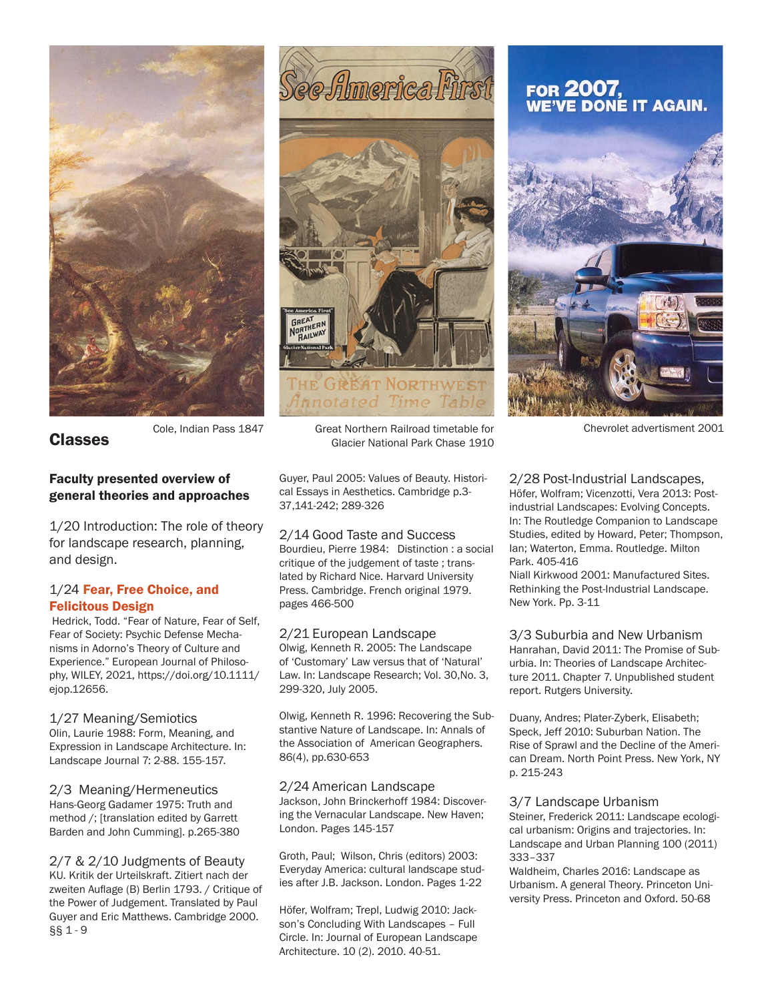



# FOR 2007,<br>WE'VE DONE IT AGAIN.



Classes

#### Faculty presented overview of general theories and approaches

1/20 Introduction: The role of theory for landscape research, planning, and design.

#### 1/24 Fear, Free Choice, and Felicitous Design

 Hedrick, Todd. "Fear of Nature, Fear of Self, Fear of Society: Psychic Defense Mechanisms in Adorno's Theory of Culture and Experience." European Journal of Philosophy, WILEY, 2021, https://doi.org/10.1111/ ejop.12656.

#### 1/27 Meaning/Semiotics

Olin, Laurie 1988: Form, Meaning, and Expression in Landscape Architecture. In: Landscape Journal 7: 2-88. 155-157.

2/3 Meaning/Hermeneutics Hans-Georg Gadamer 1975: Truth and method /; [translation edited by Garrett Barden and John Cumming]. p.265-380

2/7 & 2/10 Judgments of Beauty KU. Kritik der Urteilskraft. Zitiert nach der zweiten Auflage (B) Berlin 1793. / Critique of the Power of Judgement. Translated by Paul Guyer and Eric Matthews. Cambridge 2000. §§ 1 - 9

Cole, Indian Pass 1847 Great Northern Railroad timetable for Chevrolet advertisment 2001 Glacier National Park Chase 1910

> Guyer, Paul 2005: Values of Beauty. Historical Essays in Aesthetics. Cambridge p.3- 37,141-242; 289-326

2/14 Good Taste and Success Bourdieu, Pierre 1984: Distinction : a social critique of the judgement of taste ; translated by Richard Nice. Harvard University Press. Cambridge. French original 1979. pages 466-500

#### 2/21 European Landscape

Olwig, Kenneth R. 2005: The Landscape of 'Customary' Law versus that of 'Natural' Law. In: Landscape Research; Vol. 30,No. 3, 299-320, July 2005.

Olwig, Kenneth R. 1996: Recovering the Substantive Nature of Landscape. In: Annals of the Association of American Geographers. 86(4), pp.630-653

#### 2/24 American Landscape

Jackson, John Brinckerhoff 1984: Discovering the Vernacular Landscape. New Haven; London. Pages 145-157

Groth, Paul; Wilson, Chris (editors) 2003: Everyday America: cultural landscape studies after J.B. Jackson. London. Pages 1-22

Höfer, Wolfram; Trepl, Ludwig 2010: Jackson's Concluding With Landscapes – Full Circle. In: Journal of European Landscape Architecture. 10 (2). 2010. 40-51.

2/28 Post-Industrial Landscapes, Höfer, Wolfram; Vicenzotti, Vera 2013: Postindustrial Landscapes: Evolving Concepts. In: The Routledge Companion to Landscape Studies, edited by Howard, Peter; Thompson, Ian; Waterton, Emma. Routledge. Milton Park. 405-416

Niall Kirkwood 2001: Manufactured Sites. Rethinking the Post-Industrial Landscape. New York. Pp. 3-11

3/3 Suburbia and New Urbanism Hanrahan, David 2011: The Promise of Suburbia. In: Theories of Landscape Architecture 2011. Chapter 7. Unpublished student report. Rutgers University.

Duany, Andres; Plater-Zyberk, Elisabeth; Speck, Jeff 2010: Suburban Nation. The Rise of Sprawl and the Decline of the American Dream. North Point Press. New York, NY p. 215-243

#### 3/7 Landscape Urbanism

Steiner, Frederick 2011: Landscape ecological urbanism: Origins and trajectories. In: Landscape and Urban Planning 100 (2011) 333–337

Waldheim, Charles 2016: Landscape as Urbanism. A general Theory. Princeton University Press. Princeton and Oxford. 50-68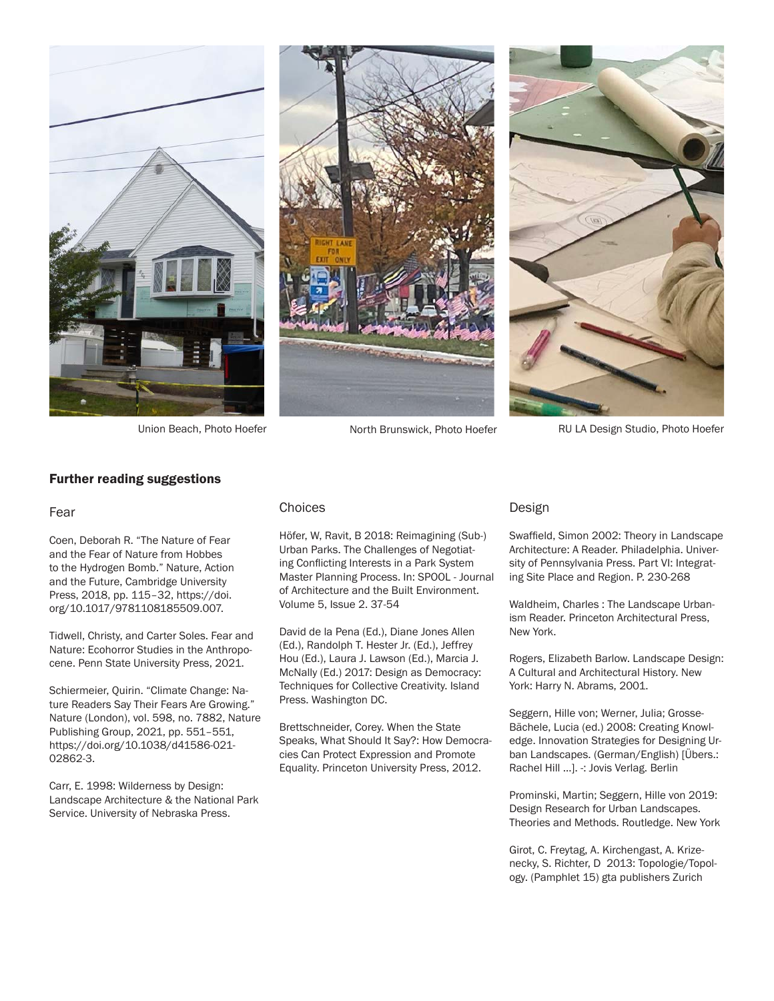





Union Beach, Photo Hoefer North Brunswick, Photo Hoefer RU LA Design Studio, Photo Hoefer

#### Further reading suggestions

#### Fear

Coen, Deborah R. "The Nature of Fear and the Fear of Nature from Hobbes to the Hydrogen Bomb." Nature, Action and the Future, Cambridge University Press, 2018, pp. 115–32, https://doi. org/10.1017/9781108185509.007.

Tidwell, Christy, and Carter Soles. Fear and Nature: Ecohorror Studies in the Anthropocene. Penn State University Press, 2021.

Schiermeier, Quirin. "Climate Change: Nature Readers Say Their Fears Are Growing." Nature (London), vol. 598, no. 7882, Nature Publishing Group, 2021, pp. 551–551, https://doi.org/10.1038/d41586-021- 02862-3.

Carr, E. 1998: Wilderness by Design: Landscape Architecture & the National Park Service. University of Nebraska Press.

#### Choices

Höfer, W, Ravit, B 2018: Reimagining (Sub-) Urban Parks. The Challenges of Negotiating Conflicting Interests in a Park System Master Planning Process. In: SPOOL - Journal of Architecture and the Built Environment. Volume 5, Issue 2. 37-54

David de la Pena (Ed.), Diane Jones Allen (Ed.), Randolph T. Hester Jr. (Ed.), Jeffrey Hou (Ed.), Laura J. Lawson (Ed.), Marcia J. McNally (Ed.) 2017: Design as Democracy: Techniques for Collective Creativity. Island Press. Washington DC.

Brettschneider, Corey. When the State Speaks, What Should It Say?: How Democracies Can Protect Expression and Promote Equality. Princeton University Press, 2012.

#### Design

Swaffield, Simon 2002: Theory in Landscape Architecture: A Reader. Philadelphia. University of Pennsylvania Press. Part VI: Integrating Site Place and Region. P. 230-268

Waldheim, Charles : The Landscape Urbanism Reader. Princeton Architectural Press, New York.

Rogers, Elizabeth Barlow. Landscape Design: A Cultural and Architectural History. New York: Harry N. Abrams, 2001.

Seggern, Hille von; Werner, Julia; Grosse-Bächele, Lucia (ed.) 2008: Creating Knowledge. Innovation Strategies for Designing Urban Landscapes. (German/English) [Übers.: Rachel Hill ...]. -: Jovis Verlag. Berlin

Prominski, Martin; Seggern, Hille von 2019: Design Research for Urban Landscapes. Theories and Methods. Routledge. New York

Girot, C. Freytag, A. Kirchengast, A. Krizenecky, S. Richter, D 2013: Topologie/Topology. (Pamphlet 15) gta publishers Zurich